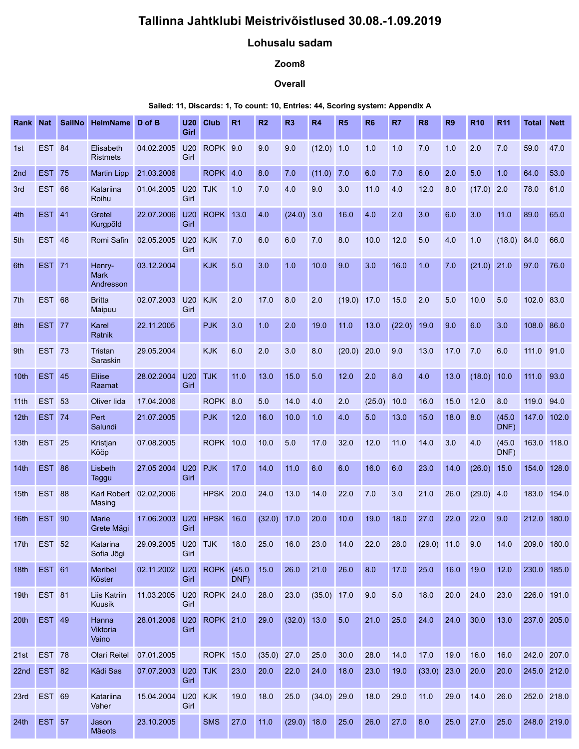# Tallinna Jahtklubi Meistrivõistlused 30.08.-1.09.2019

### Lohusalu sadam

## Zoom8

### **Overall**

#### Sailed: 11, Discards: 1, To count: 10, Entries: 44, Scoring system: Appendix A

|     |             |               |                                    | Tallinna Jahtklubi Meistrivõistlused 30.08.-1.09.2019                          |             |                  |                                              | Lohusalu sadam                                            |                |               |                |                                    |                |                    |                   |                        |                |              |                  |
|-----|-------------|---------------|------------------------------------|--------------------------------------------------------------------------------|-------------|------------------|----------------------------------------------|-----------------------------------------------------------|----------------|---------------|----------------|------------------------------------|----------------|--------------------|-------------------|------------------------|----------------|--------------|------------------|
|     |             |               |                                    |                                                                                |             |                  |                                              |                                                           | Zoom8          |               |                |                                    |                |                    |                   |                        |                |              |                  |
|     |             |               |                                    |                                                                                |             |                  |                                              |                                                           | <b>Overall</b> |               |                |                                    |                |                    |                   |                        |                |              |                  |
|     |             |               |                                    | Sailed: 11, Discards: 1, To count: 10, Entries: 44, Scoring system: Appendix A |             |                  |                                              |                                                           |                |               |                |                                    |                |                    |                   |                        |                |              |                  |
|     | Rank Nat    |               | SailNo HelmName D of B             |                                                                                | U20<br>Girl | <b>Club</b>      | <b>R1</b>                                    | R2                                                        | R3             | <b>R4</b>     | R <sub>5</sub> | <b>R6</b>                          | R <sub>7</sub> | <b>R8</b>          | R <sub>9</sub>    | <b>R10</b>             | <b>R11</b>     | <b>Total</b> | <b>Nett</b>      |
| 1st |             | <b>EST 84</b> | Elisabeth<br><b>Ristmets</b>       | 04.02.2005                                                                     | U20<br>Girl | ROPK 9.0         |                                              | 9.0                                                       | 9.0            | $(12.0)$ 1.0  |                | 1.0                                | 1.0            | 7.0                | 1.0               | 2.0                    | 7.0            | 59.0         | 47.0             |
| 2nd |             | <b>EST 75</b> | <b>Martin Lipp</b>                 | 21.03.2006                                                                     |             | ROPK 4.0         |                                              | 8.0                                                       | 7.0            | (11.0) 7.0    |                | 6.0                                | 7.0            | 6.0                | 2.0               | 5.0                    | 1.0            | 64.0         | 53.0             |
| 3rd |             | <b>EST 66</b> | Katariina<br>Roihu                 | 01.04.2005 U20 TJK                                                             | Girl        |                  | 1.0                                          | 7.0                                                       | 4.0            | 9.0           | 3.0            | 11.0                               | 4.0            | 12.0               | 8.0               | $(17.0)$ 2.0           |                | 78.0         | 61.0             |
| 4th |             | <b>EST 41</b> | Gretel<br>Kurgpõld                 | 22.07.2006 U20                                                                 | Girl        | <b>ROPK 13.0</b> |                                              | 4.0                                                       | $(24.0)$ 3.0   |               | 16.0           | 4.0                                | 2.0            | 3.0                | 6.0               | 3.0                    | 11.0           | 89.0         | 65.0             |
| 5th |             | <b>EST 46</b> | Romi Safin                         | 02.05.2005                                                                     | U20<br>Girl | <b>KJK</b>       | 7.0                                          | 6.0                                                       | 6.0            | 7.0           | 8.0            | 10.0                               | 12.0           | 5.0                | 4.0               | 1.0                    | (18.0) 84.0    |              | 66.0             |
| 6th |             | <b>EST</b> 71 | Henry-<br><b>Mark</b><br>Andresson | 03.12.2004                                                                     |             | <b>KJK</b>       | 5.0                                          | 3.0                                                       | 1.0            | 10.0          | 9.0            | 3.0                                | 16.0           | 1.0                | 7.0               | $(21.0)$ 21.0          |                | 97.0         | 76.0             |
|     | 7th EST 68  |               | <b>Britta</b><br>Maipuu            | 02.07.2003 U20 KJK 2.0                                                         | Girl        |                  |                                              | 17.0 8.0 2.0 (19.0) 17.0 15.0 2.0 5.0 10.0 5.0 102.0 83.0 |                |               |                |                                    |                |                    |                   |                        |                |              |                  |
| 8th |             | <b>EST 77</b> | Karel<br>Ratnik                    | 22.11.2005                                                                     |             | <b>PJK</b>       | 3.0                                          | 1.0                                                       | 2.0            | 19.0          | 11.0           | 13.0                               | $(22.0)$ 19.0  |                    | 9.0               | 6.0                    | 3.0            | 108.0 86.0   |                  |
| 9th |             | <b>EST 73</b> | Tristan<br>Saraskin                | 29.05.2004                                                                     |             | <b>KJK</b>       | 6.0                                          | 2.0                                                       | 3.0            | 8.0           | $(20.0)$ 20.0  |                                    | 9.0            | 13.0               | 17.0 7.0          |                        | 6.0            | 111.0 91.0   |                  |
|     | 10th EST 45 |               | Eliise<br>Raamat                   | 28.02.2004 U20 TJK                                                             | Girl        |                  | 11.0                                         | 13.0                                                      | 15.0 5.0       |               | 12.0           | 2.0                                | 8.0            | 4.0                |                   | $13.0$ $(18.0)$ $10.0$ |                | $111.0$ 93.0 |                  |
|     | 11th EST 53 |               | Oliver lida                        | 17.04.2006                                                                     |             | ROPK 8.0         |                                              | 5.0                                                       | 14.0           | 4.0           | 2.0            | $(25.0)$ 10.0                      |                | 16.0               | 15.0 12.0         |                        | 8.0            | 119.0 94.0   |                  |
|     | 12th EST 74 |               | Pert<br>Salundi                    | 21.07.2005                                                                     |             | <b>PJK</b>       | 12.0                                         | 16.0                                                      | 10.0           | 1.0           | 4.0            | 5.0                                | 13.0           | 15.0               | $18.0$ 8.0        |                        | (45.0)<br>DNF) |              | 147.0 102.0      |
|     | 13th EST 25 |               | Kristjan<br>Kööp                   | 07.08.2005                                                                     |             | <b>ROPK 10.0</b> |                                              | 10.0                                                      | 5.0            | 17.0          | 32.0           | $12.0$                             | 11.0           | 14.0               | 3.0               | 4.0                    | (45.0)<br>DNF) | 163.0 118.0  |                  |
|     | 14th EST 86 |               | Lisbeth<br>Taggu                   | 27.05 2004 U20                                                                 | Girl        | <b>PJK</b>       | 17.0                                         | 14.0                                                      | 11.0           | 6.0           | 6.0            | 16.0                               | 6.0            | 23.0               | 14.0              | $(26.0)$ 15.0          |                |              | 154.0 128.0      |
|     | 15th EST 88 |               | Karl Robert 02,02,2006<br>Masing   |                                                                                |             | <b>HPSK</b> 20.0 |                                              | 24.0                                                      | 13.0           | 14.0          | 22.0           | $\begin{array}{c} 7.0 \end{array}$ | 3.0            | 21.0               | 26.0              | $(29.0)$ 4.0           |                |              | 183.0 154.0      |
|     | 16th EST 90 |               | Marie<br>Grete Mägi                | 17.06.2003 U20 HPSK 16.0                                                       | Girl        |                  |                                              |                                                           | $(32.0)$ 17.0  | $20.0$        | 10.0           | 19.0                               | 18.0           | 27.0               | 22.0              | 22.0                   | 9.0            |              | 212.0 180.0      |
|     | 17th EST 52 |               | Katarina<br>Sofia Jõgi             | 29.09.2005 U20 TJK                                                             | Girl        |                  | 18.0                                         | 25.0                                                      | 16.0           | 23.0          | 14.0           | 22.0                               | 28.0           |                    | $(29.0)$ 11.0 9.0 |                        | 14.0           |              | 209.0 180.0      |
|     | 18th EST 61 |               | Meribel<br>Kõster                  | 02.11.2002                                                                     | Girl        | U20 ROPK         | DNF)                                         | $(45.0 \t15.0 \t26.0 \t21.0$                              |                |               | 26.0 8.0       |                                    | 17.0           | 25.0               | 16.0 19.0         |                        | 12.0           |              | 230.0 185.0      |
|     | 19th EST 81 |               | Liis Katriin<br>Kuusik             | 11.03.2005 U20 ROPK 24.0 28.0 23.0                                             | Girl        |                  |                                              |                                                           |                | $(35.0)$ 17.0 |                | 9.0                                | 5.0            | 18.0               | 20.0              | 24.0                   | 23.0           |              | 226.0 191.0      |
|     | 20th EST 49 |               | Hanna<br>Viktoria<br>Vaino         | 28.01.2006 U20 ROPK 21.0 29.0 (32.0) 13.0 5.0                                  | Girl        |                  |                                              |                                                           |                |               |                | $21.0$ 25.0                        |                | 24.0 24.0 30.0     |                   |                        |                |              | 13.0 237.0 205.0 |
|     | 21st EST 78 |               | Olari Reitel                       | 07.01.2005                                                                     |             | <b>ROPK 15.0</b> |                                              | $(35.0)$ 27.0                                             |                | 25.0          | 30.0           | 28.0                               | 14.0           | 17.0               | 19.0              | 16.0                   | 16.0           |              | 242.0 207.0      |
|     | 22nd EST 82 |               | Kädi Sas                           | 07.07.2003 U20 TJK                                                             | Girl        |                  | 23.0                                         | $20.0$ 22.0                                               |                | 24.0          | 18.0 23.0      |                                    | 19.0           | $(33.0)$ 23.0 20.0 |                   |                        | 20.0           |              | 245.0 212.0      |
|     | 23rd EST 69 |               | Katariina<br>Vaher                 | 15.04.2004 U20 KJK                                                             | Girl        |                  | 19.0                                         | 18.0 25.0                                                 |                | $(34.0)$ 29.0 |                | 18.0 29.0                          |                | 11.0               | 29.0 14.0         |                        | 26.0           |              | 252.0 218.0      |
|     | 24th EST 57 |               | Jason<br>Mäeots                    | 23.10.2005                                                                     |             |                  | SMS 27.0 11.0 (29.0) 18.0 25.0 26.0 27.0 8.0 |                                                           |                |               |                |                                    |                |                    |                   | 25.0 27.0 25.0         |                |              | 248.0 219.0      |
|     |             |               |                                    |                                                                                |             |                  |                                              |                                                           |                |               |                |                                    |                |                    |                   |                        |                |              |                  |